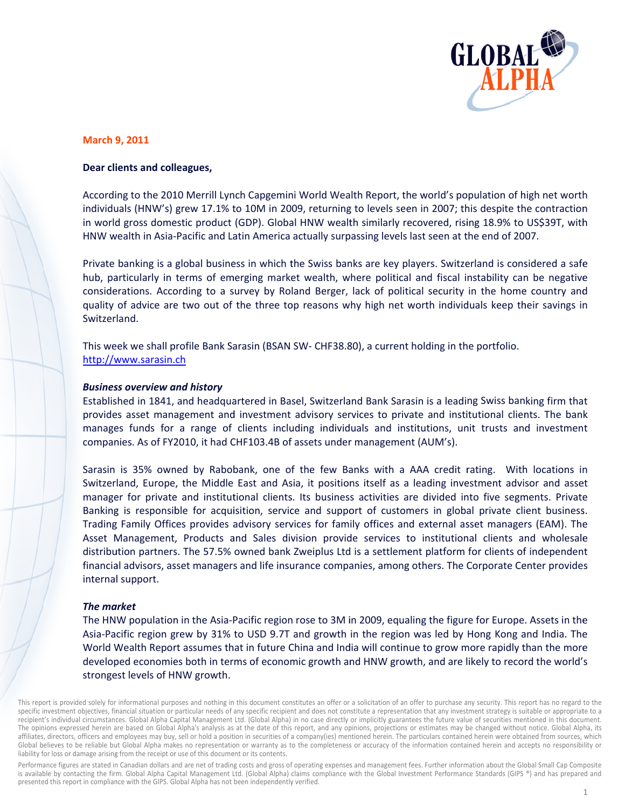

### **March 9, 2011**

### Dear clients and colleagues,

According to the 2010 Merrill Lynch Capgemini World Wealth Report, the world's population of high net worth individuals (HNW's) grew 17.1% to 10M in 2009, returning to levels seen in 2007; this despite the contraction in world gross domestic product (GDP). Global HNW wealth similarly recovered, rising 18.9% to US\$39T, with HNW wealth in Asia-Pacific and Latin America actually surpassing levels last seen at the end of 2007.

Private banking is a global business in which the Swiss banks are key players. Switzerland is considered a safe hub, particularly in terms of emerging market wealth, where political and fiscal instability can be negative considerations. According to a survey by Roland Berger, lack of political security in the home country and quality of advice are two out of the three top reasons why high net worth individuals keep their savings in Switzerland.

This week we shall profile Bank Sarasin (BSAN SW-CHF38.80), a current holding in the portfolio. http://www.sarasin.ch

#### **Business overview and history**

Established in 1841, and headquartered in Basel, Switzerland Bank Sarasin is a leading Swiss banking firm that provides asset management and investment advisory services to private and institutional clients. The bank manages funds for a range of clients including individuals and institutions, unit trusts and investment companies. As of FY2010, it had CHF103.4B of assets under management (AUM's).

Sarasin is 35% owned by Rabobank, one of the few Banks with a AAA credit rating. With locations in Switzerland, Europe, the Middle East and Asia, it positions itself as a leading investment advisor and asset manager for private and institutional clients. Its business activities are divided into five segments. Private Banking is responsible for acquisition, service and support of customers in global private client business. Trading Family Offices provides advisory services for family offices and external asset managers (EAM). The Asset Management, Products and Sales division provide services to institutional clients and wholesale distribution partners. The 57.5% owned bank Zweiplus Ltd is a settlement platform for clients of independent financial advisors, asset managers and life insurance companies, among others. The Corporate Center provides internal support.

### The market

The HNW population in the Asia-Pacific region rose to 3M in 2009, equaling the figure for Europe. Assets in the Asia-Pacific region grew by 31% to USD 9.7T and growth in the region was led by Hong Kong and India. The World Wealth Report assumes that in future China and India will continue to grow more rapidly than the more developed economies both in terms of economic growth and HNW growth, and are likely to record the world's strongest levels of HNW growth.

This report is provided solely for informational purposes and nothing in this document constitutes an offer or a solicitation of an offer to purchase any security. This report has no regard to the specific investment objectives, financial situation or particular needs of any specific recipient and does not constitute a representation that any investment strategy is suitable or appropriate to a recipient's individual circumstances. Global Alpha Capital Management Ltd. (Global Alpha) in no case directly or implicitly guarantees the future value of securities mentioned in this document. The opinions expressed herein are based on Global Alpha's analysis as at the date of this report, and any opinions, projections or estimates may be changed without notice. Global Alpha, its affiliates, directors, officers and employees may buy, sell or hold a position in securities of a company(ies) mentioned herein. The particulars contained herein were obtained from sources, which Global believes to be reliable but Global Alpha makes no representation or warranty as to the completeness or accuracy of the information contained herein and accepts no responsibility or liability for loss or damage arising from the receipt or use of this document or its contents.

Performance figures are stated in Canadian dollars and are net of trading costs and gross of operating expenses and management fees. Further information about the Global Small Cap Composite is available by contacting the firm. Global Alpha Capital Management Ltd. (Global Alpha) claims compliance with the Global Investment Performance Standards (GIPS ®) and has prepared and presented this report in compliance with the GIPS. Global Alpha has not been independently verified.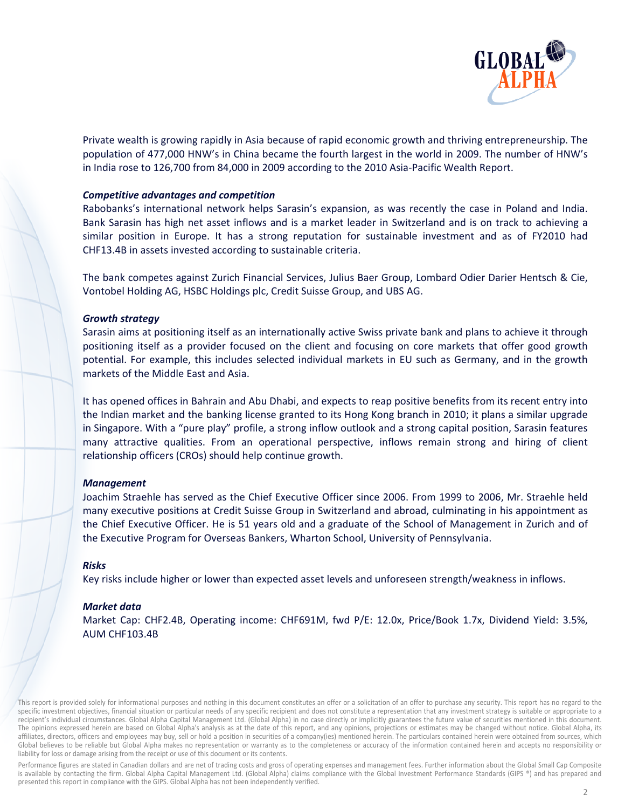

Private wealth is growing rapidly in Asia because of rapid economic growth and thriving entrepreneurship. The population of 477,000 HNW's in China became the fourth largest in the world in 2009. The number of HNW's in India rose to 126,700 from 84,000 in 2009 according to the 2010 Asia-Pacific Wealth Report.

### **Competitive advantages and competition**

Rabobanks's international network helps Sarasin's expansion, as was recently the case in Poland and India. Bank Sarasin has high net asset inflows and is a market leader in Switzerland and is on track to achieving a similar position in Europe. It has a strong reputation for sustainable investment and as of FY2010 had CHF13.4B in assets invested according to sustainable criteria.

The bank competes against Zurich Financial Services, Julius Baer Group, Lombard Odier Darier Hentsch & Cie, Vontobel Holding AG, HSBC Holdings plc, Credit Suisse Group, and UBS AG.

# **Growth strategy**

Sarasin aims at positioning itself as an internationally active Swiss private bank and plans to achieve it through positioning itself as a provider focused on the client and focusing on core markets that offer good growth potential. For example, this includes selected individual markets in EU such as Germany, and in the growth markets of the Middle East and Asia.

It has opened offices in Bahrain and Abu Dhabi, and expects to reap positive benefits from its recent entry into the Indian market and the banking license granted to its Hong Kong branch in 2010; it plans a similar upgrade in Singapore. With a "pure play" profile, a strong inflow outlook and a strong capital position, Sarasin features many attractive qualities. From an operational perspective, inflows remain strong and hiring of client relationship officers (CROs) should help continue growth.

# **Management**

Joachim Straehle has served as the Chief Executive Officer since 2006. From 1999 to 2006, Mr. Straehle held many executive positions at Credit Suisse Group in Switzerland and abroad, culminating in his appointment as the Chief Executive Officer. He is 51 years old and a graduate of the School of Management in Zurich and of the Executive Program for Overseas Bankers, Wharton School, University of Pennsylvania.

#### **Risks**

Key risks include higher or lower than expected asset levels and unforeseen strength/weakness in inflows.

# **Market data**

Market Cap: CHF2.4B, Operating income: CHF691M, fwd P/E: 12.0x, Price/Book 1.7x, Dividend Yield: 3.5%, AUM CHF103.4B

This report is provided solely for informational purposes and nothing in this document constitutes an offer or a solicitation of an offer to purchase any security. This report has no regard to the specific investment objectives, financial situation or particular needs of any specific recipient and does not constitute a representation that any investment strategy is suitable or appropriate to a recipient's individual circumstances. Global Alpha Capital Management Ltd. (Global Alpha) in no case directly or implicitly guarantees the future value of securities mentioned in this document. The opinions expressed herein are based on Global Alpha's analysis as at the date of this report, and any opinions, projections or estimates may be changed without notice. Global Alpha, its affiliates, directors, officers and employees may buy, sell or hold a position in securities of a company(ies) mentioned herein. The particulars contained herein were obtained from sources, which Global believes to be reliable but Global Alpha makes no representation or warranty as to the completeness or accuracy of the information contained herein and accepts no responsibility or liability for loss or damage arising from the receipt or use of this document or its contents.

Performance figures are stated in Canadian dollars and are net of trading costs and gross of operating expenses and management fees. Further information about the Global Small Cap Composite is available by contacting the firm. Global Alpha Capital Management Ltd. (Global Alpha) claims compliance with the Global Investment Performance Standards (GIPS ®) and has prepared and presented this report in compliance with the GIPS. Global Alpha has not been independently verified.